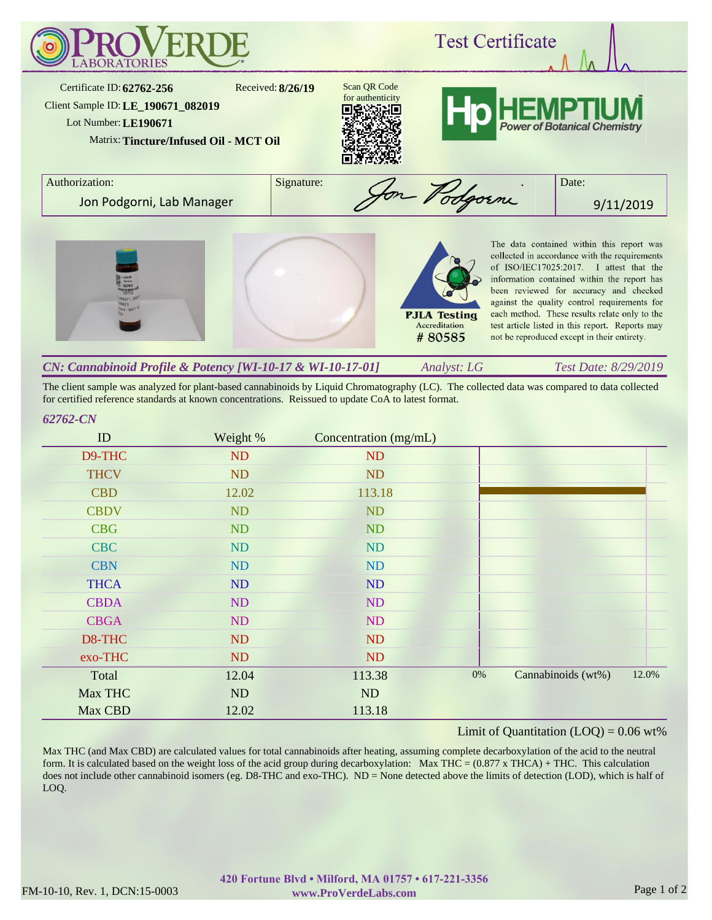

The client sample was analyzed for plant-based cannabinoids by Liquid Chromatography (LC). The collected data was compared to data collected for certified reference standards at known concentrations. Reissued to update CoA to latest format.

## *62762-CN*

| ID          | Weight % | Concentration (mg/mL) |       |                    |       |
|-------------|----------|-----------------------|-------|--------------------|-------|
| D9-THC      | ND       | <b>ND</b>             |       |                    |       |
| <b>THCV</b> | ND       | ND                    |       |                    |       |
| <b>CBD</b>  | 12.02    | 113.18                |       |                    |       |
| <b>CBDV</b> | ND       | ND                    |       |                    |       |
| <b>CBG</b>  | ND       | ND                    |       |                    |       |
| <b>CBC</b>  | ND       | ND                    |       |                    |       |
| <b>CBN</b>  | ND       | <b>ND</b>             |       |                    |       |
| <b>THCA</b> | ND       | ND                    |       |                    |       |
| <b>CBDA</b> | ND       | ND                    |       |                    |       |
| <b>CBGA</b> | ND       | ND                    |       |                    |       |
| D8-THC      | ND       | ND                    |       |                    |       |
| exo-THC     | ND       | ND                    |       |                    |       |
| Total       | 12.04    | 113.38                | $0\%$ | Cannabinoids (wt%) | 12.0% |
| Max THC     | ND       | ND                    |       |                    |       |
| Max CBD     | 12.02    | 113.18                |       |                    |       |

## Limit of Quantitation  $(LOQ) = 0.06$  wt%

Max THC (and Max CBD) are calculated values for total cannabinoids after heating, assuming complete decarboxylation of the acid to the neutral form. It is calculated based on the weight loss of the acid group during decarboxylation: Max THC =  $(0.877 \times THCA) + THC$ . This calculation does not include other cannabinoid isomers (eg. D8-THC and exo-THC). ND = None detected above the limits of detection (LOD), which is half of LOQ.